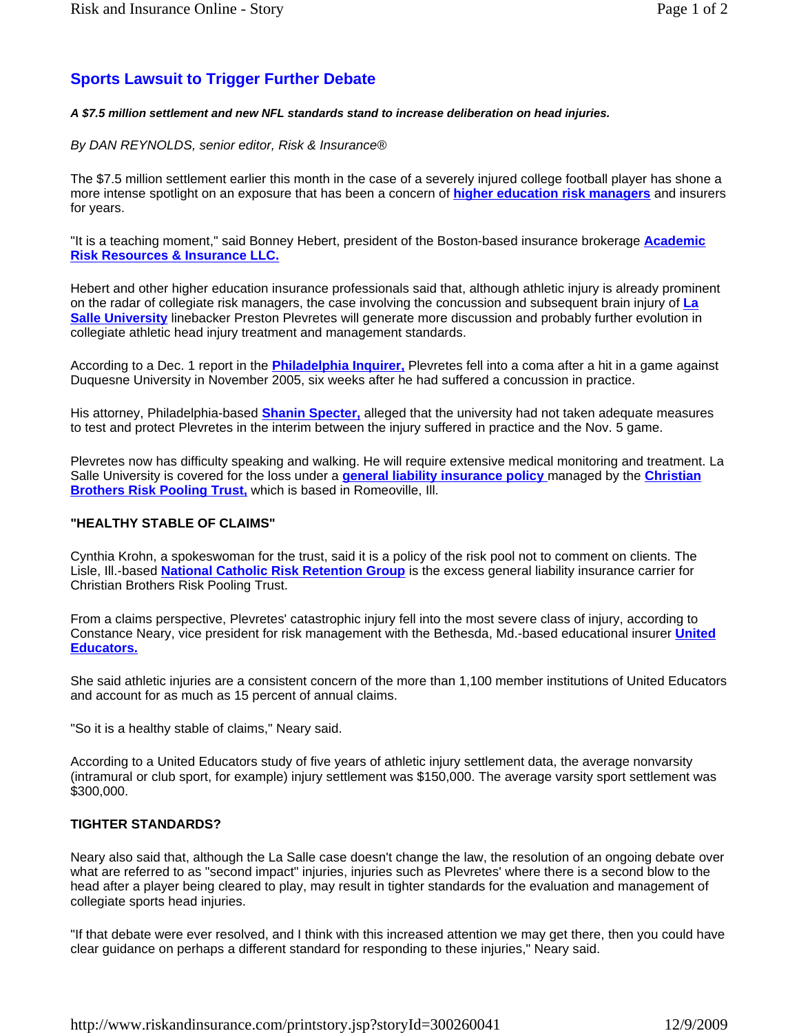# **Sports Lawsuit to Trigger Further Debate**

#### *A \$7.5 million settlement and new NFL standards stand to increase deliberation on head injuries.*

## *By DAN REYNOLDS, senior editor, Risk & Insurance®*

The \$7.5 million settlement earlier this month in the case of a severely injured college football player has shone a more intense spotlight on an exposure that has been a concern of **higher education risk managers** and insurers for years.

"It is a teaching moment," said Bonney Hebert, president of the Boston-based insurance brokerage **Academic Risk Resources & Insurance LLC.**

Hebert and other higher education insurance professionals said that, although athletic injury is already prominent on the radar of collegiate risk managers, the case involving the concussion and subsequent brain injury of **La Salle University** linebacker Preston Plevretes will generate more discussion and probably further evolution in collegiate athletic head injury treatment and management standards.

According to a Dec. 1 report in the **Philadelphia Inquirer,** Plevretes fell into a coma after a hit in a game against Duquesne University in November 2005, six weeks after he had suffered a concussion in practice.

His attorney, Philadelphia-based **Shanin Specter,** alleged that the university had not taken adequate measures to test and protect Plevretes in the interim between the injury suffered in practice and the Nov. 5 game.

Plevretes now has difficulty speaking and walking. He will require extensive medical monitoring and treatment. La Salle University is covered for the loss under a **general liability insurance policy** managed by the **Christian Brothers Risk Pooling Trust,** which is based in Romeoville, Ill.

## **"HEALTHY STABLE OF CLAIMS"**

Cynthia Krohn, a spokeswoman for the trust, said it is a policy of the risk pool not to comment on clients. The Lisle, Ill.-based **National Catholic Risk Retention Group** is the excess general liability insurance carrier for Christian Brothers Risk Pooling Trust.

From a claims perspective, Plevretes' catastrophic injury fell into the most severe class of injury, according to Constance Neary, vice president for risk management with the Bethesda, Md.-based educational insurer **United Educators.** 

She said athletic injuries are a consistent concern of the more than 1,100 member institutions of United Educators and account for as much as 15 percent of annual claims.

"So it is a healthy stable of claims," Neary said.

According to a United Educators study of five years of athletic injury settlement data, the average nonvarsity (intramural or club sport, for example) injury settlement was \$150,000. The average varsity sport settlement was \$300,000.

## **TIGHTER STANDARDS?**

Neary also said that, although the La Salle case doesn't change the law, the resolution of an ongoing debate over what are referred to as "second impact" injuries, injuries such as Plevretes' where there is a second blow to the head after a player being cleared to play, may result in tighter standards for the evaluation and management of collegiate sports head injuries.

"If that debate were ever resolved, and I think with this increased attention we may get there, then you could have clear guidance on perhaps a different standard for responding to these injuries," Neary said.